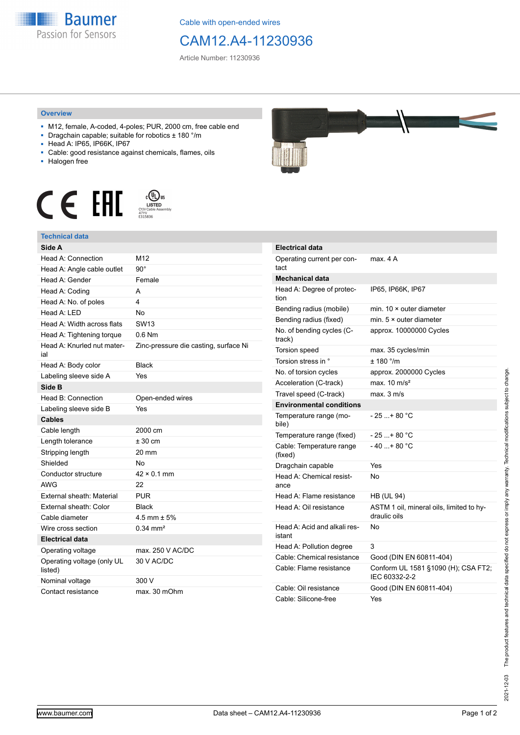

Cable with open-ended wires

## CAM12.A4-11230936

Article Number: 11230936

## **Overview**

- M12, female, A-coded, 4-poles; PUR, 2000 cm, free cable end
- Dragchain capable; suitable for robotics ± 180 °/m
- Head A: IP65, IP66K, IP67
- Cable: good resistance against chemicals, flames, oils
- Halogen free





| Side A                                |                                       |
|---------------------------------------|---------------------------------------|
| Head A: Connection                    | M <sub>12</sub>                       |
| Head A: Angle cable outlet            | $90^{\circ}$                          |
| Head A: Gender                        | Female                                |
| Head A: Coding                        | А                                     |
| Head A: No. of poles                  | 4                                     |
| Head A: LED                           | <b>No</b>                             |
| Head A: Width across flats            | SW <sub>13</sub>                      |
| Head A: Tightening torque             | $0.6$ Nm                              |
| Head A: Knurled nut mater-<br>ial     | Zinc-pressure die casting, surface Ni |
| Head A: Body color                    | <b>Black</b>                          |
| Labeling sleeve side A                | Yes                                   |
| Side B                                |                                       |
| Head B: Connection                    | Open-ended wires                      |
| Labeling sleeve side B                | Yes                                   |
| <b>Cables</b>                         |                                       |
| Cable length                          | 2000 cm                               |
| Length tolerance                      | $± 30$ cm                             |
| Stripping length                      | 20 mm                                 |
| Shielded                              | Nο                                    |
| Conductor structure                   | $42 \times 0.1$ mm                    |
| <b>AWG</b>                            | 22                                    |
| External sheath: Material             | <b>PUR</b>                            |
| External sheath: Color                | <b>Black</b>                          |
| Cable diameter                        | $4.5$ mm $\pm 5%$                     |
| Wire cross section                    | $0.34 \, \text{mm}^2$                 |
| <b>Electrical data</b>                |                                       |
| Operating voltage                     | max. 250 V AC/DC                      |
| Operating voltage (only UL<br>listed) | 30 V AC/DC                            |
| Nominal voltage                       | 300 V                                 |
| Contact resistance                    | max. 30 mOhm                          |



| <b>Electrical data</b>                 |                                                          |
|----------------------------------------|----------------------------------------------------------|
| Operating current per con-<br>tact     | max 4 A                                                  |
| <b>Mechanical data</b>                 |                                                          |
| Head A: Degree of protec-<br>tion      | IP65, IP66K, IP67                                        |
| Bending radius (mobile)                | min 10 x outer diameter                                  |
| Bending radius (fixed)                 | min. $5 \times$ outer diameter                           |
| No. of bending cycles (C-<br>track)    | approx. 10000000 Cycles                                  |
| Torsion speed                          | max. 35 cycles/min                                       |
| Torsion stress in °                    | ± 180 °/m                                                |
| No. of torsion cycles                  | approx. 2000000 Cycles                                   |
| Acceleration (C-track)                 | max. $10 \text{ m/s}^2$                                  |
| Travel speed (C-track)                 | $max$ 3 m/s                                              |
| <b>Environmental conditions</b>        |                                                          |
| Temperature range (mo-<br>bile)        | $-25+80 °C$                                              |
| Temperature range (fixed)              | $-25+80 °C$                                              |
| Cable: Temperature range<br>(fixed)    | $-40$ + 80 °C                                            |
| Dragchain capable                      | Yes                                                      |
| Head A: Chemical resist-<br>ance       | No                                                       |
| Head A: Flame resistance               | <b>HB (UL 94)</b>                                        |
| Head A: Oil resistance                 | ASTM 1 oil, mineral oils, limited to hy-<br>draulic oils |
| Head A: Acid and alkali res-<br>istant | No                                                       |
| Head A: Pollution degree               | 3                                                        |
| Cable: Chemical resistance             | Good (DIN EN 60811-404)                                  |
| Cable: Flame resistance                | Conform UL 1581 §1090 (H); CSA FT2;<br>IEC 60332-2-2     |
| Cable: Oil resistance                  | Good (DIN EN 60811-404)                                  |
| Cable: Silicone-free                   | Yes                                                      |